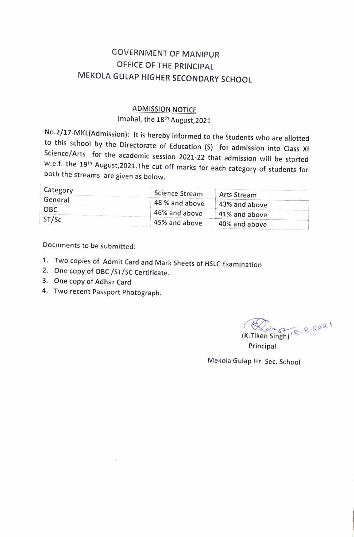## GOVERNMENT OF MANIPUR OFFICE OF THE PRINCIPAL MEKOLA GULAP HIGHER SECONDARY SCHOOL

## ADMISSION NOTICE Imphal, the 18<sup>th</sup> August, 2021

No.2/17-MKL(Admission): It is hereby informed to the Students who are allotted to this school by the Directorate of Education (S) for admission into Class XI Science/Arts for the academic session 2021-22 that admission will be started w.e.f. the 19<sup>th</sup> August, 2021. The cut off marks for each category of students for both the streams are given as below.

|               | Arts Stream                                       |
|---------------|---------------------------------------------------|
|               | 43% and above                                     |
|               | 41% and above                                     |
| 45% and above | 40% and above                                     |
|               | Science Stream<br>48 % and above<br>46% and above |

Documents to be submitted:

- 1. Two copies of Admit Card and Mark Sheets of HSLC Examination
- 2. One copy of OBC /ST/SC Certificate.
- 3. One copy of Adhar Card
- 4. Two recent Passport Photograph.

 $(K.$ Tiken Singh)<sup>18</sup>,8.2021

Principal

Mekola Gulap Hr. Sec. School